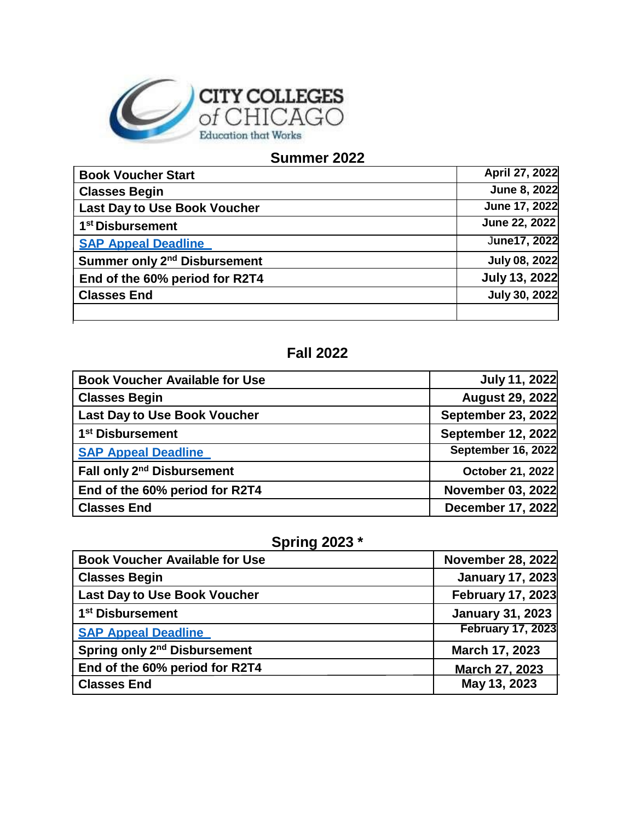

## **Summer 2022**

| <b>Book Voucher Start</b>                | April 27, 2022       |
|------------------------------------------|----------------------|
| <b>Classes Begin</b>                     | June 8, 2022         |
| <b>Last Day to Use Book Voucher</b>      | June 17, 2022        |
| 1 <sup>st</sup> Disbursement             | June 22, 2022        |
| <b>SAP Appeal Deadline</b>               | June17, 2022         |
| Summer only 2 <sup>nd</sup> Disbursement | <b>July 08, 2022</b> |
| End of the 60% period for R2T4           | <b>July 13, 2022</b> |
| <b>Classes End</b>                       | July 30, 2022        |
|                                          |                      |

## **Fall 2022**

| <b>Book Voucher Available for Use</b>  | <b>July 11, 2022</b>      |
|----------------------------------------|---------------------------|
| <b>Classes Begin</b>                   | <b>August 29, 2022</b>    |
| <b>Last Day to Use Book Voucher</b>    | <b>September 23, 2022</b> |
| 1 <sup>st</sup> Disbursement           | September 12, 2022        |
| <b>SAP Appeal Deadline</b>             | <b>September 16, 2022</b> |
| Fall only 2 <sup>nd</sup> Disbursement | October 21, 2022          |
| End of the 60% period for R2T4         | <b>November 03, 2022</b>  |
| <b>Classes End</b>                     | December 17, 2022         |

## **Spring 2023 \***

| <b>Book Voucher Available for Use</b>    | <b>November 28, 2022</b> |
|------------------------------------------|--------------------------|
| <b>Classes Begin</b>                     | <b>January 17, 2023</b>  |
| <b>Last Day to Use Book Voucher</b>      | <b>February 17, 2023</b> |
| 1 <sup>st</sup> Disbursement             | <b>January 31, 2023</b>  |
| <b>SAP Appeal Deadline</b>               | <b>February 17, 2023</b> |
| Spring only 2 <sup>nd</sup> Disbursement | March 17, 2023           |
| End of the 60% period for R2T4           | March 27, 2023           |
| <b>Classes End</b>                       | May 13, 2023             |